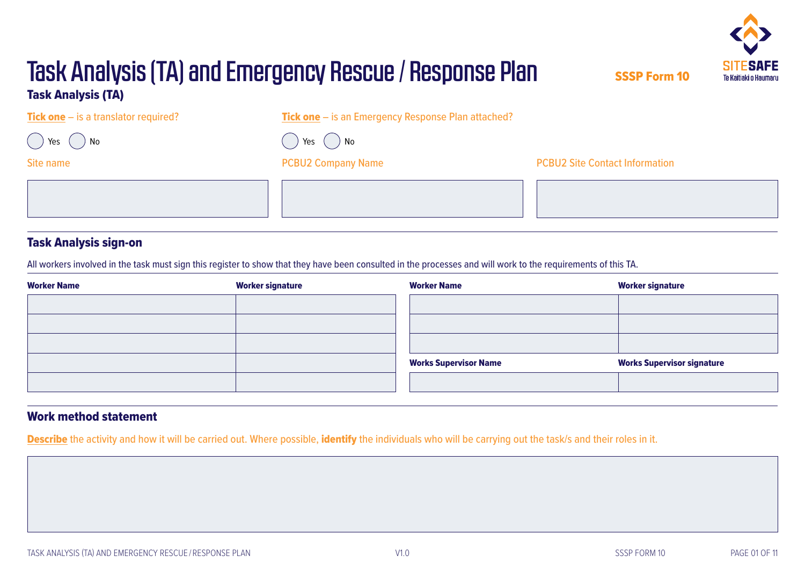### Task Analysis (TA) and Emergency Rescue/Response Plan Task Analysis (TA)



Tick one – is a translator required?

Tick one – is an Emergency Response Plan attached?

| Yes. | No |
|------|----|
|------|----|

Site name

PCBU2 Company Name **PCBU2** Site Contact Information

SSSP Form 10

#### Task Analysis sign-on

Yes  $($   $)$  No

All workers involved in the task must sign this register to show that they have been consulted in the processes and will work to the requirements of this TA.

| <b>Worker Name</b> | <b>Worker signature</b> | <b>Worker Name</b>           | <b>Worker signature</b>           |
|--------------------|-------------------------|------------------------------|-----------------------------------|
|                    |                         |                              |                                   |
|                    |                         |                              |                                   |
|                    |                         |                              |                                   |
|                    |                         | <b>Works Supervisor Name</b> | <b>Works Supervisor signature</b> |
|                    |                         |                              |                                   |

#### Work method statement

.

Describe the activity and how it will be carried out. Where possible, identify the individuals who will be carrying out the task/s and their roles in it.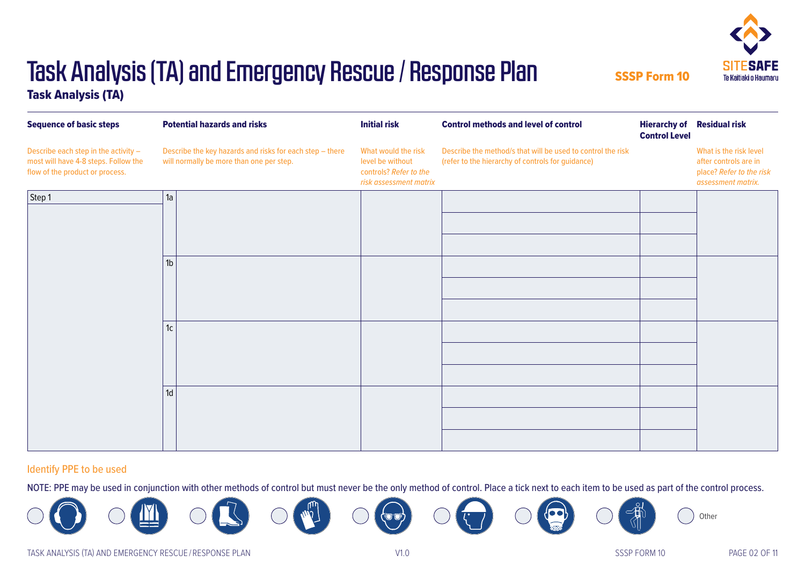

Task Analysis (TA)

| <b>Sequence of basic steps</b>                                                                                  | <b>Potential hazards and risks</b>                                                                   | <b>Initial risk</b>                                                                         | <b>Control methods and level of control</b>                                                                      | <b>Hierarchy of</b><br><b>Control Level</b> | <b>Residual risk</b>                                                                              |
|-----------------------------------------------------------------------------------------------------------------|------------------------------------------------------------------------------------------------------|---------------------------------------------------------------------------------------------|------------------------------------------------------------------------------------------------------------------|---------------------------------------------|---------------------------------------------------------------------------------------------------|
| Describe each step in the activity -<br>most will have 4-8 steps. Follow the<br>flow of the product or process. | Describe the key hazards and risks for each step - there<br>will normally be more than one per step. | What would the risk<br>level be without<br>controls? Refer to the<br>risk assessment matrix | Describe the method/s that will be used to control the risk<br>(refer to the hierarchy of controls for guidance) |                                             | What is the risk level<br>after controls are in<br>place? Refer to the risk<br>assessment matrix. |
| Step 1                                                                                                          | 1a                                                                                                   |                                                                                             |                                                                                                                  |                                             |                                                                                                   |
|                                                                                                                 |                                                                                                      |                                                                                             |                                                                                                                  |                                             |                                                                                                   |
|                                                                                                                 |                                                                                                      |                                                                                             |                                                                                                                  |                                             |                                                                                                   |
|                                                                                                                 | 1 <sub>b</sub>                                                                                       |                                                                                             |                                                                                                                  |                                             |                                                                                                   |
|                                                                                                                 |                                                                                                      |                                                                                             |                                                                                                                  |                                             |                                                                                                   |
|                                                                                                                 |                                                                                                      |                                                                                             |                                                                                                                  |                                             |                                                                                                   |
|                                                                                                                 | 1c                                                                                                   |                                                                                             |                                                                                                                  |                                             |                                                                                                   |
|                                                                                                                 |                                                                                                      |                                                                                             |                                                                                                                  |                                             |                                                                                                   |
|                                                                                                                 |                                                                                                      |                                                                                             |                                                                                                                  |                                             |                                                                                                   |
|                                                                                                                 | 1d                                                                                                   |                                                                                             |                                                                                                                  |                                             |                                                                                                   |
|                                                                                                                 |                                                                                                      |                                                                                             |                                                                                                                  |                                             |                                                                                                   |
|                                                                                                                 |                                                                                                      |                                                                                             |                                                                                                                  |                                             |                                                                                                   |

#### Identify PPE to be used

NOTE: PPE may be used in conjunction with other methods of control but must never be the only method of control. Place a tick next to each item to be used as part of the control process.

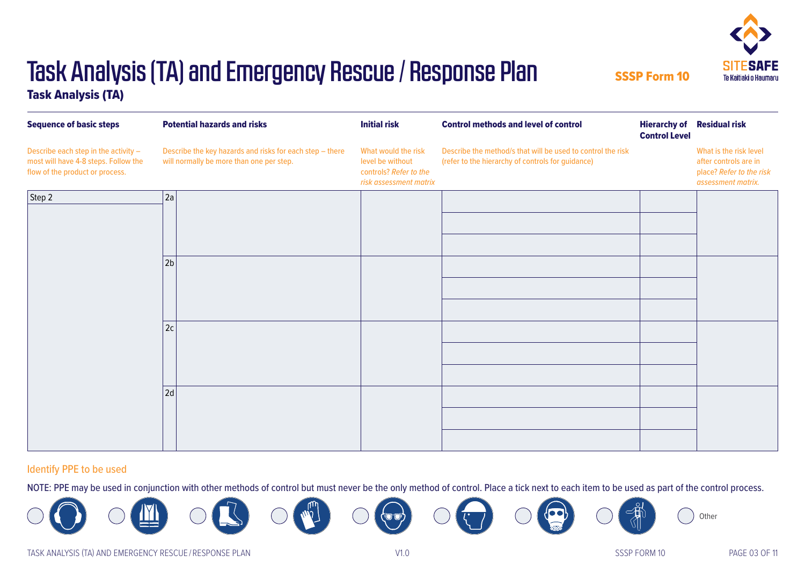

Task Analysis (TA)

| <b>Sequence of basic steps</b>                                                                                  | <b>Potential hazards and risks</b>                                                                   | <b>Initial risk</b>                                                                         | <b>Control methods and level of control</b>                                                                      | <b>Hierarchy of</b><br><b>Control Level</b> | <b>Residual risk</b>                                                                              |
|-----------------------------------------------------------------------------------------------------------------|------------------------------------------------------------------------------------------------------|---------------------------------------------------------------------------------------------|------------------------------------------------------------------------------------------------------------------|---------------------------------------------|---------------------------------------------------------------------------------------------------|
| Describe each step in the activity -<br>most will have 4-8 steps. Follow the<br>flow of the product or process. | Describe the key hazards and risks for each step - there<br>will normally be more than one per step. | What would the risk<br>level be without<br>controls? Refer to the<br>risk assessment matrix | Describe the method/s that will be used to control the risk<br>(refer to the hierarchy of controls for guidance) |                                             | What is the risk level<br>after controls are in<br>place? Refer to the risk<br>assessment matrix. |
| Step 2                                                                                                          | 2a                                                                                                   |                                                                                             |                                                                                                                  |                                             |                                                                                                   |
|                                                                                                                 |                                                                                                      |                                                                                             |                                                                                                                  |                                             |                                                                                                   |
|                                                                                                                 |                                                                                                      |                                                                                             |                                                                                                                  |                                             |                                                                                                   |
|                                                                                                                 | 2b                                                                                                   |                                                                                             |                                                                                                                  |                                             |                                                                                                   |
|                                                                                                                 |                                                                                                      |                                                                                             |                                                                                                                  |                                             |                                                                                                   |
|                                                                                                                 |                                                                                                      |                                                                                             |                                                                                                                  |                                             |                                                                                                   |
|                                                                                                                 | 2c                                                                                                   |                                                                                             |                                                                                                                  |                                             |                                                                                                   |
|                                                                                                                 |                                                                                                      |                                                                                             |                                                                                                                  |                                             |                                                                                                   |
|                                                                                                                 |                                                                                                      |                                                                                             |                                                                                                                  |                                             |                                                                                                   |
|                                                                                                                 | 2d                                                                                                   |                                                                                             |                                                                                                                  |                                             |                                                                                                   |
|                                                                                                                 |                                                                                                      |                                                                                             |                                                                                                                  |                                             |                                                                                                   |
|                                                                                                                 |                                                                                                      |                                                                                             |                                                                                                                  |                                             |                                                                                                   |

#### Identify PPE to be used

NOTE: PPE may be used in conjunction with other methods of control but must never be the only method of control. Place a tick next to each item to be used as part of the control process.

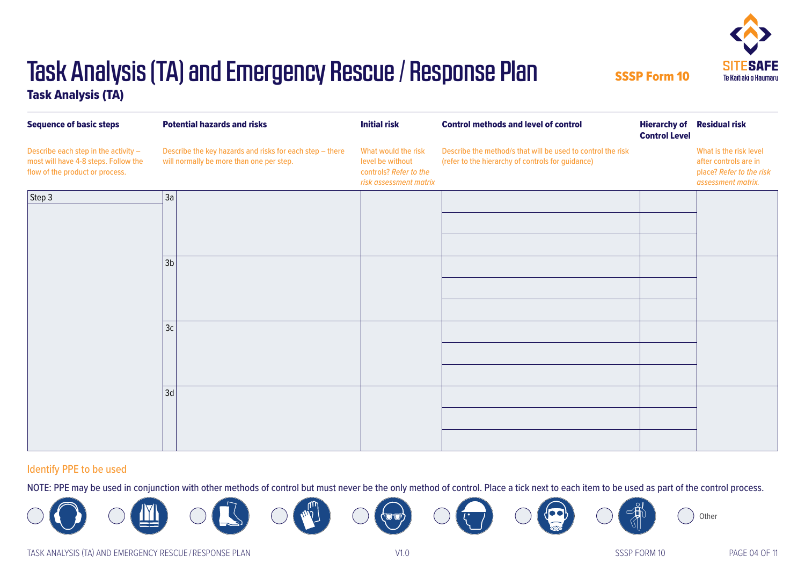

Task Analysis (TA)

| <b>Sequence of basic steps</b>                                                                                  | <b>Potential hazards and risks</b>                                                                   | <b>Initial risk</b>                                                                         | <b>Control methods and level of control</b>                                                                      | <b>Hierarchy of</b><br><b>Control Level</b> | <b>Residual risk</b>                                                                              |
|-----------------------------------------------------------------------------------------------------------------|------------------------------------------------------------------------------------------------------|---------------------------------------------------------------------------------------------|------------------------------------------------------------------------------------------------------------------|---------------------------------------------|---------------------------------------------------------------------------------------------------|
| Describe each step in the activity -<br>most will have 4-8 steps. Follow the<br>flow of the product or process. | Describe the key hazards and risks for each step - there<br>will normally be more than one per step. | What would the risk<br>level be without<br>controls? Refer to the<br>risk assessment matrix | Describe the method/s that will be used to control the risk<br>(refer to the hierarchy of controls for guidance) |                                             | What is the risk level<br>after controls are in<br>place? Refer to the risk<br>assessment matrix. |
| Step 3                                                                                                          | 3a                                                                                                   |                                                                                             |                                                                                                                  |                                             |                                                                                                   |
|                                                                                                                 |                                                                                                      |                                                                                             |                                                                                                                  |                                             |                                                                                                   |
|                                                                                                                 |                                                                                                      |                                                                                             |                                                                                                                  |                                             |                                                                                                   |
|                                                                                                                 | 3 <sub>b</sub>                                                                                       |                                                                                             |                                                                                                                  |                                             |                                                                                                   |
|                                                                                                                 |                                                                                                      |                                                                                             |                                                                                                                  |                                             |                                                                                                   |
|                                                                                                                 |                                                                                                      |                                                                                             |                                                                                                                  |                                             |                                                                                                   |
|                                                                                                                 | 3c                                                                                                   |                                                                                             |                                                                                                                  |                                             |                                                                                                   |
|                                                                                                                 |                                                                                                      |                                                                                             |                                                                                                                  |                                             |                                                                                                   |
|                                                                                                                 |                                                                                                      |                                                                                             |                                                                                                                  |                                             |                                                                                                   |
|                                                                                                                 | 3d                                                                                                   |                                                                                             |                                                                                                                  |                                             |                                                                                                   |
|                                                                                                                 |                                                                                                      |                                                                                             |                                                                                                                  |                                             |                                                                                                   |
|                                                                                                                 |                                                                                                      |                                                                                             |                                                                                                                  |                                             |                                                                                                   |

#### Identify PPE to be used

NOTE: PPE may be used in conjunction with other methods of control but must never be the only method of control. Place a tick next to each item to be used as part of the control process.

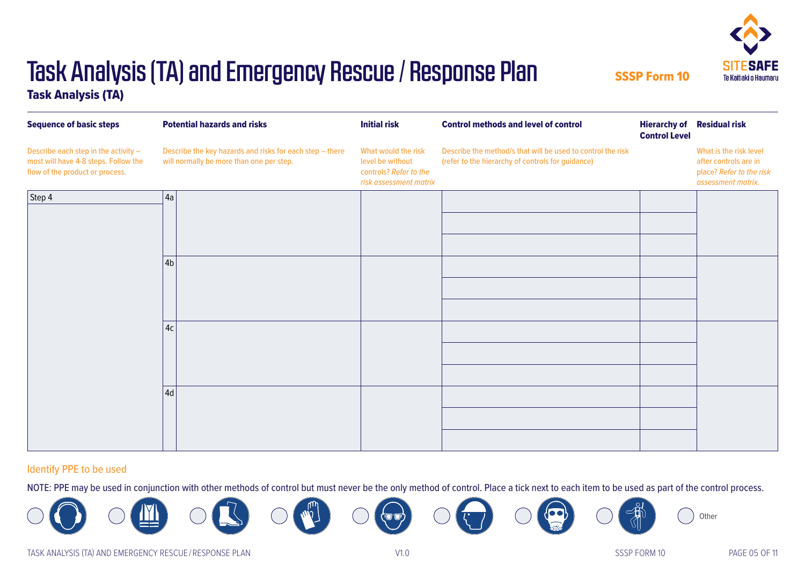

Task Analysis (TA)

| <b>Sequence of basic steps</b>                                                                                  | <b>Potential hazards and risks</b>                                                                   | <b>Initial risk</b>                                                                         | <b>Control methods and level of control</b>                                                                      | <b>Hierarchy of</b><br><b>Control Level</b> | <b>Residual risk</b>                                                                              |
|-----------------------------------------------------------------------------------------------------------------|------------------------------------------------------------------------------------------------------|---------------------------------------------------------------------------------------------|------------------------------------------------------------------------------------------------------------------|---------------------------------------------|---------------------------------------------------------------------------------------------------|
| Describe each step in the activity -<br>most will have 4-8 steps. Follow the<br>flow of the product or process. | Describe the key hazards and risks for each step - there<br>will normally be more than one per step. | What would the risk<br>level be without<br>controls? Refer to the<br>risk assessment matrix | Describe the method/s that will be used to control the risk<br>(refer to the hierarchy of controls for guidance) |                                             | What is the risk level<br>after controls are in<br>place? Refer to the risk<br>assessment matrix. |
| Step $4$                                                                                                        | 4a                                                                                                   |                                                                                             |                                                                                                                  |                                             |                                                                                                   |
|                                                                                                                 |                                                                                                      |                                                                                             |                                                                                                                  |                                             |                                                                                                   |
|                                                                                                                 |                                                                                                      |                                                                                             |                                                                                                                  |                                             |                                                                                                   |
|                                                                                                                 | 4 <sub>b</sub>                                                                                       |                                                                                             |                                                                                                                  |                                             |                                                                                                   |
|                                                                                                                 |                                                                                                      |                                                                                             |                                                                                                                  |                                             |                                                                                                   |
|                                                                                                                 |                                                                                                      |                                                                                             |                                                                                                                  |                                             |                                                                                                   |
|                                                                                                                 | 4c                                                                                                   |                                                                                             |                                                                                                                  |                                             |                                                                                                   |
|                                                                                                                 |                                                                                                      |                                                                                             |                                                                                                                  |                                             |                                                                                                   |
|                                                                                                                 |                                                                                                      |                                                                                             |                                                                                                                  |                                             |                                                                                                   |
|                                                                                                                 | 4d                                                                                                   |                                                                                             |                                                                                                                  |                                             |                                                                                                   |
|                                                                                                                 |                                                                                                      |                                                                                             |                                                                                                                  |                                             |                                                                                                   |
|                                                                                                                 |                                                                                                      |                                                                                             |                                                                                                                  |                                             |                                                                                                   |

#### Identify PPE to be used

NOTE: PPE may be used in conjunction with other methods of control but must never be the only method of control. Place a tick next to each item to be used as part of the control process.

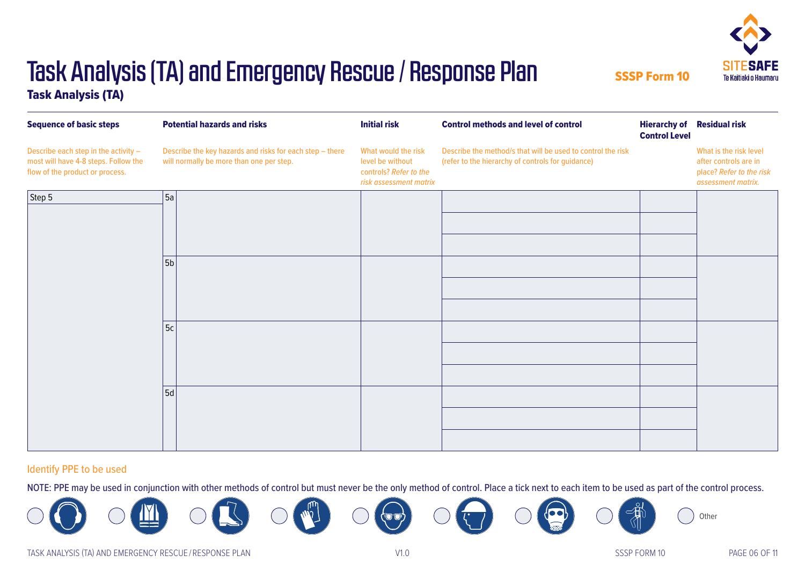

Task Analysis (TA)

| <b>Sequence of basic steps</b>                                                                                  | <b>Potential hazards and risks</b>                                                                   | <b>Initial risk</b>                                                                         | <b>Control methods and level of control</b>                                                                      | <b>Hierarchy of</b><br><b>Control Level</b> | <b>Residual risk</b>                                                                              |
|-----------------------------------------------------------------------------------------------------------------|------------------------------------------------------------------------------------------------------|---------------------------------------------------------------------------------------------|------------------------------------------------------------------------------------------------------------------|---------------------------------------------|---------------------------------------------------------------------------------------------------|
| Describe each step in the activity -<br>most will have 4-8 steps. Follow the<br>flow of the product or process. | Describe the key hazards and risks for each step - there<br>will normally be more than one per step. | What would the risk<br>level be without<br>controls? Refer to the<br>risk assessment matrix | Describe the method/s that will be used to control the risk<br>(refer to the hierarchy of controls for guidance) |                                             | What is the risk level<br>after controls are in<br>place? Refer to the risk<br>assessment matrix. |
| Step 5                                                                                                          | 5a                                                                                                   |                                                                                             |                                                                                                                  |                                             |                                                                                                   |
|                                                                                                                 |                                                                                                      |                                                                                             |                                                                                                                  |                                             |                                                                                                   |
|                                                                                                                 |                                                                                                      |                                                                                             |                                                                                                                  |                                             |                                                                                                   |
|                                                                                                                 | 5b                                                                                                   |                                                                                             |                                                                                                                  |                                             |                                                                                                   |
|                                                                                                                 |                                                                                                      |                                                                                             |                                                                                                                  |                                             |                                                                                                   |
|                                                                                                                 |                                                                                                      |                                                                                             |                                                                                                                  |                                             |                                                                                                   |
|                                                                                                                 | 5c                                                                                                   |                                                                                             |                                                                                                                  |                                             |                                                                                                   |
|                                                                                                                 |                                                                                                      |                                                                                             |                                                                                                                  |                                             |                                                                                                   |
|                                                                                                                 |                                                                                                      |                                                                                             |                                                                                                                  |                                             |                                                                                                   |
|                                                                                                                 | 5d                                                                                                   |                                                                                             |                                                                                                                  |                                             |                                                                                                   |
|                                                                                                                 |                                                                                                      |                                                                                             |                                                                                                                  |                                             |                                                                                                   |
|                                                                                                                 |                                                                                                      |                                                                                             |                                                                                                                  |                                             |                                                                                                   |

#### Identify PPE to be used

NOTE: PPE may be used in conjunction with other methods of control but must never be the only method of control. Place a tick next to each item to be used as part of the control process.

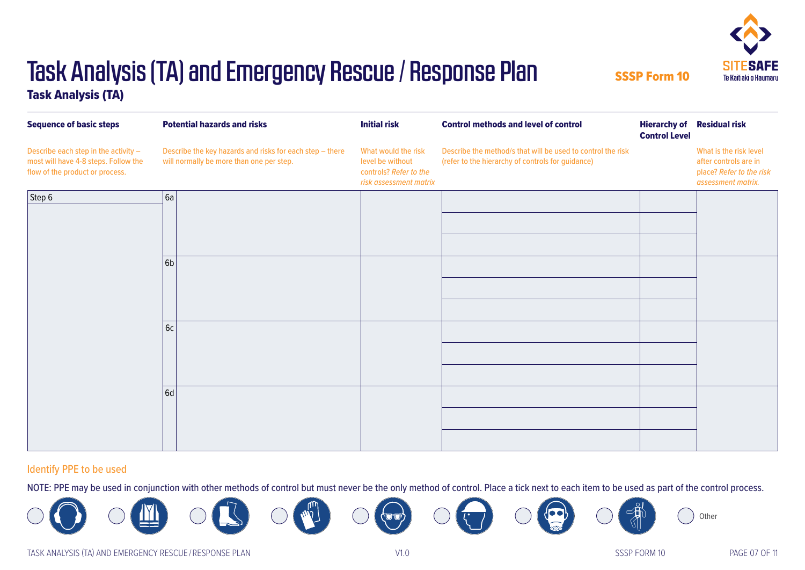

Task Analysis (TA)

| <b>Sequence of basic steps</b>                                                                                  | <b>Potential hazards and risks</b>                                                                   | <b>Initial risk</b>                                                                         | <b>Control methods and level of control</b>                                                                      | <b>Hierarchy of</b><br><b>Control Level</b> | <b>Residual risk</b>                                                                              |
|-----------------------------------------------------------------------------------------------------------------|------------------------------------------------------------------------------------------------------|---------------------------------------------------------------------------------------------|------------------------------------------------------------------------------------------------------------------|---------------------------------------------|---------------------------------------------------------------------------------------------------|
| Describe each step in the activity -<br>most will have 4-8 steps. Follow the<br>flow of the product or process. | Describe the key hazards and risks for each step - there<br>will normally be more than one per step. | What would the risk<br>level be without<br>controls? Refer to the<br>risk assessment matrix | Describe the method/s that will be used to control the risk<br>(refer to the hierarchy of controls for guidance) |                                             | What is the risk level<br>after controls are in<br>place? Refer to the risk<br>assessment matrix. |
| Step 6                                                                                                          | 6a                                                                                                   |                                                                                             |                                                                                                                  |                                             |                                                                                                   |
|                                                                                                                 |                                                                                                      |                                                                                             |                                                                                                                  |                                             |                                                                                                   |
|                                                                                                                 |                                                                                                      |                                                                                             |                                                                                                                  |                                             |                                                                                                   |
|                                                                                                                 | 6b                                                                                                   |                                                                                             |                                                                                                                  |                                             |                                                                                                   |
|                                                                                                                 |                                                                                                      |                                                                                             |                                                                                                                  |                                             |                                                                                                   |
|                                                                                                                 |                                                                                                      |                                                                                             |                                                                                                                  |                                             |                                                                                                   |
|                                                                                                                 | 6c                                                                                                   |                                                                                             |                                                                                                                  |                                             |                                                                                                   |
|                                                                                                                 |                                                                                                      |                                                                                             |                                                                                                                  |                                             |                                                                                                   |
|                                                                                                                 |                                                                                                      |                                                                                             |                                                                                                                  |                                             |                                                                                                   |
|                                                                                                                 | 6d                                                                                                   |                                                                                             |                                                                                                                  |                                             |                                                                                                   |
|                                                                                                                 |                                                                                                      |                                                                                             |                                                                                                                  |                                             |                                                                                                   |
|                                                                                                                 |                                                                                                      |                                                                                             |                                                                                                                  |                                             |                                                                                                   |

#### Identify PPE to be used

NOTE: PPE may be used in conjunction with other methods of control but must never be the only method of control. Place a tick next to each item to be used as part of the control process.

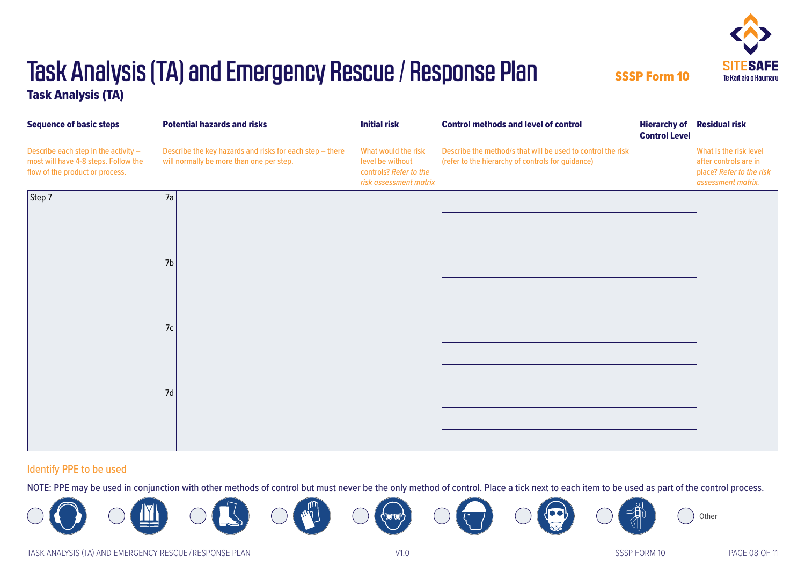

Task Analysis (TA)

| <b>Sequence of basic steps</b>                                                                                  | <b>Potential hazards and risks</b>                                                                   | <b>Initial risk</b>                                                                         | <b>Control methods and level of control</b>                                                                      | <b>Hierarchy of</b><br><b>Control Level</b> | <b>Residual risk</b>                                                                              |
|-----------------------------------------------------------------------------------------------------------------|------------------------------------------------------------------------------------------------------|---------------------------------------------------------------------------------------------|------------------------------------------------------------------------------------------------------------------|---------------------------------------------|---------------------------------------------------------------------------------------------------|
| Describe each step in the activity -<br>most will have 4-8 steps. Follow the<br>flow of the product or process. | Describe the key hazards and risks for each step - there<br>will normally be more than one per step. | What would the risk<br>level be without<br>controls? Refer to the<br>risk assessment matrix | Describe the method/s that will be used to control the risk<br>(refer to the hierarchy of controls for guidance) |                                             | What is the risk level<br>after controls are in<br>place? Refer to the risk<br>assessment matrix. |
| Step 7                                                                                                          | 7a                                                                                                   |                                                                                             |                                                                                                                  |                                             |                                                                                                   |
|                                                                                                                 |                                                                                                      |                                                                                             |                                                                                                                  |                                             |                                                                                                   |
|                                                                                                                 |                                                                                                      |                                                                                             |                                                                                                                  |                                             |                                                                                                   |
|                                                                                                                 | 7b                                                                                                   |                                                                                             |                                                                                                                  |                                             |                                                                                                   |
|                                                                                                                 |                                                                                                      |                                                                                             |                                                                                                                  |                                             |                                                                                                   |
|                                                                                                                 |                                                                                                      |                                                                                             |                                                                                                                  |                                             |                                                                                                   |
|                                                                                                                 | 7c                                                                                                   |                                                                                             |                                                                                                                  |                                             |                                                                                                   |
|                                                                                                                 |                                                                                                      |                                                                                             |                                                                                                                  |                                             |                                                                                                   |
|                                                                                                                 |                                                                                                      |                                                                                             |                                                                                                                  |                                             |                                                                                                   |
|                                                                                                                 | 7d                                                                                                   |                                                                                             |                                                                                                                  |                                             |                                                                                                   |
|                                                                                                                 |                                                                                                      |                                                                                             |                                                                                                                  |                                             |                                                                                                   |
|                                                                                                                 |                                                                                                      |                                                                                             |                                                                                                                  |                                             |                                                                                                   |

#### Identify PPE to be used

NOTE: PPE may be used in conjunction with other methods of control but must never be the only method of control. Place a tick next to each item to be used as part of the control process.

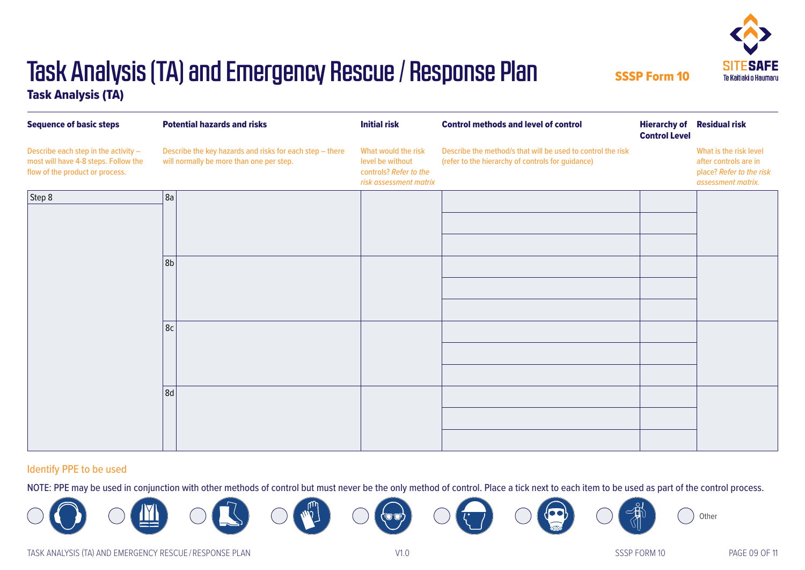

Task Analysis (TA)

| <b>Sequence of basic steps</b>                                                                                  | <b>Potential hazards and risks</b>                                                                   | <b>Initial risk</b>                                                                         | <b>Control methods and level of control</b>                                                                      | <b>Hierarchy of</b><br><b>Control Level</b> | <b>Residual risk</b>                                                                              |
|-----------------------------------------------------------------------------------------------------------------|------------------------------------------------------------------------------------------------------|---------------------------------------------------------------------------------------------|------------------------------------------------------------------------------------------------------------------|---------------------------------------------|---------------------------------------------------------------------------------------------------|
| Describe each step in the activity -<br>most will have 4-8 steps. Follow the<br>flow of the product or process. | Describe the key hazards and risks for each step - there<br>will normally be more than one per step. | What would the risk<br>level be without<br>controls? Refer to the<br>risk assessment matrix | Describe the method/s that will be used to control the risk<br>(refer to the hierarchy of controls for guidance) |                                             | What is the risk level<br>after controls are in<br>place? Refer to the risk<br>assessment matrix. |
| Step 8                                                                                                          | 8a                                                                                                   |                                                                                             |                                                                                                                  |                                             |                                                                                                   |
|                                                                                                                 |                                                                                                      |                                                                                             |                                                                                                                  |                                             |                                                                                                   |
|                                                                                                                 |                                                                                                      |                                                                                             |                                                                                                                  |                                             |                                                                                                   |
|                                                                                                                 | 8 <sub>b</sub>                                                                                       |                                                                                             |                                                                                                                  |                                             |                                                                                                   |
|                                                                                                                 |                                                                                                      |                                                                                             |                                                                                                                  |                                             |                                                                                                   |
|                                                                                                                 |                                                                                                      |                                                                                             |                                                                                                                  |                                             |                                                                                                   |
|                                                                                                                 | 8c                                                                                                   |                                                                                             |                                                                                                                  |                                             |                                                                                                   |
|                                                                                                                 |                                                                                                      |                                                                                             |                                                                                                                  |                                             |                                                                                                   |
|                                                                                                                 |                                                                                                      |                                                                                             |                                                                                                                  |                                             |                                                                                                   |
|                                                                                                                 | 8d                                                                                                   |                                                                                             |                                                                                                                  |                                             |                                                                                                   |
|                                                                                                                 |                                                                                                      |                                                                                             |                                                                                                                  |                                             |                                                                                                   |
|                                                                                                                 |                                                                                                      |                                                                                             |                                                                                                                  |                                             |                                                                                                   |

#### Identify PPE to be used

NOTE: PPE may be used in conjunction with other methods of control but must never be the only method of control. Place a tick next to each item to be used as part of the control process.

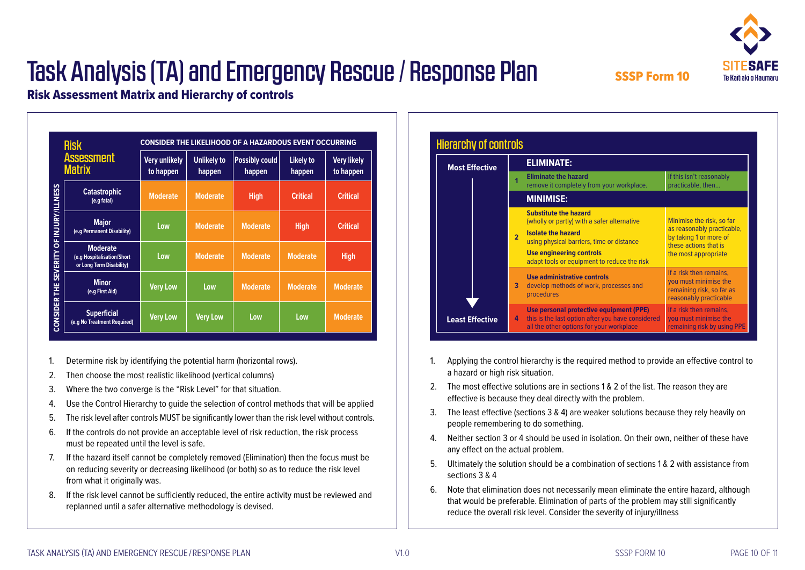

#### Risk Assessment Matrix and Hierarchy of controls

|                                    | <b>Risk</b>                                                               | <b>CONSIDER THE LIKELIHOOD OF A HAZARDOUS EVENT OCCURRING</b> |                              |                                 |                            |                                 |  |
|------------------------------------|---------------------------------------------------------------------------|---------------------------------------------------------------|------------------------------|---------------------------------|----------------------------|---------------------------------|--|
| <b>Assessment</b><br><b>Matrix</b> |                                                                           | <b>Very unlikely</b><br>to happen                             | <b>Unlikely to</b><br>happen | <b>Possibly could</b><br>happen | <b>Likely to</b><br>happen | <b>Very likely</b><br>to happen |  |
|                                    | <b>Catastrophic</b><br>(e.g fatal)                                        | <b>Moderate</b>                                               | <b>Moderate</b>              | <b>High</b>                     | <b>Critical</b>            | <b>Critical</b>                 |  |
| <b>INJURY/ILLNESS</b>              | <b>Major</b><br>(e.g Permanent Disability)                                | Low                                                           | <b>Moderate</b>              | <b>Moderate</b>                 | <b>High</b>                | <b>Critical</b>                 |  |
| 5<br><b>SEVERITY</b>               | <b>Moderate</b><br>(e.g Hospitalisation/Short<br>or Long Term Disability) | Low                                                           | <b>Moderate</b>              | <b>Moderate</b>                 | <b>Moderate</b>            | <b>High</b>                     |  |
| Ë                                  | <b>Minor</b><br>(e.g First Aid)                                           | <b>Very Low</b>                                               | Low                          | <b>Moderate</b>                 | <b>Moderate</b>            | <b>Moderate</b>                 |  |
| <b>CONSIDER</b>                    | <b>Superficial</b><br>(e.g No Treatment Required)                         | <b>Very Low</b>                                               | <b>Very Low</b>              | Low                             | Low                        | <b>Moderate</b>                 |  |

- 1. Determine risk by identifying the potential harm (horizontal rows).
- 2. Then choose the most realistic likelihood (vertical columns)
- 3. Where the two converge is the "Risk Level" for that situation.
- 4. Use the Control Hierarchy to guide the selection of control methods that will be applied
- 5. The risk level after controls MUST be significantly lower than the risk level without controls.
- 6. If the controls do not provide an acceptable level of risk reduction, the risk process must be repeated until the level is safe.
- 7. If the hazard itself cannot be completely removed (Elimination) then the focus must be on reducing severity or decreasing likelihood (or both) so as to reduce the risk level from what it originally was.
- 8. If the risk level cannot be sufficiently reduced, the entire activity must be reviewed and replanned until a safer alternative methodology is devised.



SSSP Form 10

- 1. Applying the control hierarchy is the required method to provide an effective control to a hazard or high risk situation.
- 2. The most effective solutions are in sections 1 & 2 of the list. The reason they are effective is because they deal directly with the problem.
- The least effective (sections 3 & 4) are weaker solutions because they rely heavily on people remembering to do something.
- 4. Neither section 3 or 4 should be used in isolation. On their own, neither of these have any effect on the actual problem.
- 5. Ultimately the solution should be a combination of sections 1 & 2 with assistance from sections 3 & 4
- 6. Note that elimination does not necessarily mean eliminate the entire hazard, although that would be preferable. Elimination of parts of the problem may still significantly reduce the overall risk level. Consider the severity of injury/illness